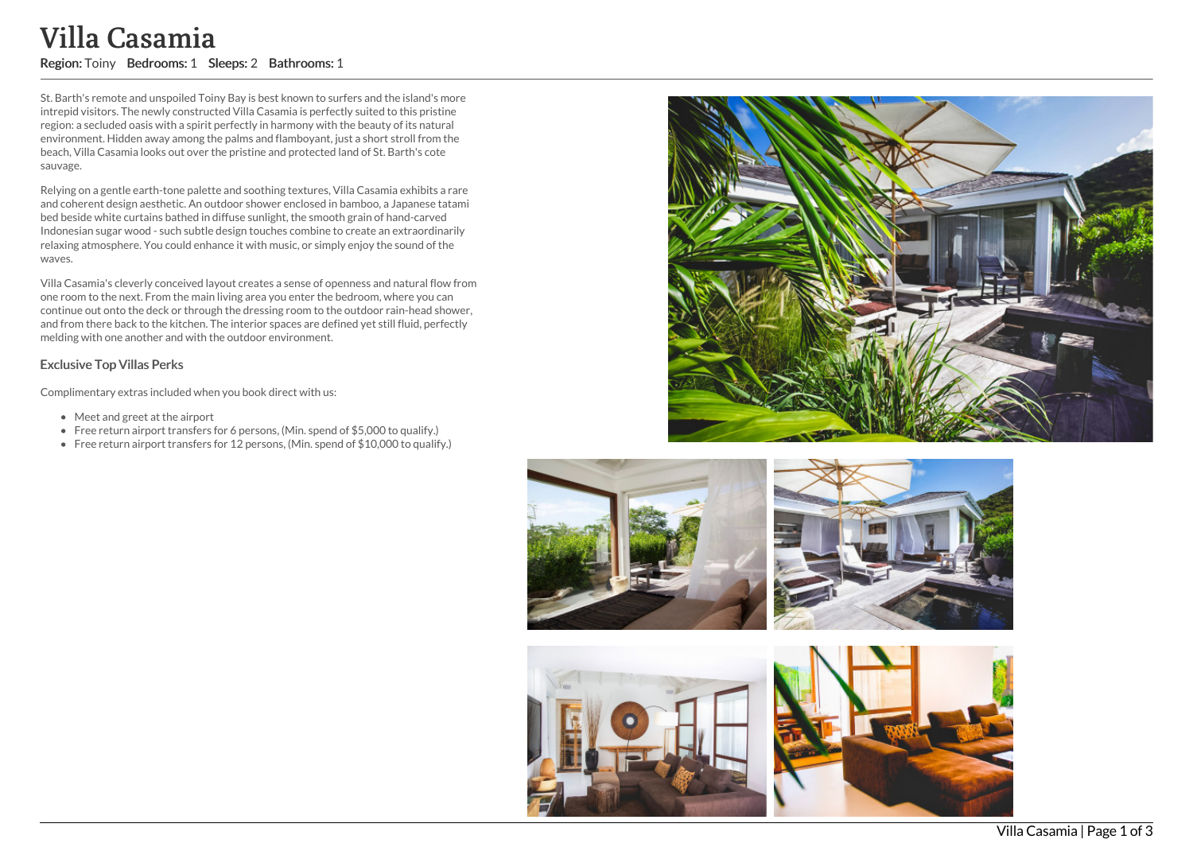## Villa Casamia

Region: Toiny Bedrooms: 1 Sleeps: 2 Bathrooms: 1

St. Barth's remote and unspoiled Toiny Bay is best known to surfers and the island's more intrepid visitors. The newly constructed Villa Casamia is perfectly suited to this pristine region: a secluded oasis with a spirit perfectly in harmony with the beauty of its natural environment. Hidden away among the palms and flamboyant, just a short stroll from the beach, Villa Casamia looks out over the pristine and protected land of St. Barth's cote sauvage.

Relying on a gentle earth-tone palette and soothing textures, Villa Casamia exhibits a rare and coherent design aesthetic. An outdoor shower enclosed in bamboo, a Japanese tatami bed beside white curtains bathed in diffuse sunlight, the smooth grain of hand-carved Indonesian sugar wood - such subtle design touches combine to create an extraordinarily relaxing atmosphere. You could enhance it with music, or simply enjoy the sound of the waves.

Villa Casamia's cleverly conceived layout creates a sense of openness and natural flow from one room to the next. From the main living area you enter the bedroom, where you can continue out onto the deck or through the dressing room to the outdoor rain-head shower, and from there back to the kitchen. The interior spaces are defined yet still fluid, perfectly melding with one another and with the outdoor environment.

## Exclusive Top Villas Perks

Complimentary extras included when you book direct with us:

- Meet and greet at the airport
- Free return airport transfers for 6 persons, (Min. spend of \$5,000 to qualify.)
- Free return airport transfers for 12 persons, (Min. spend of \$10,000 to qualify.)



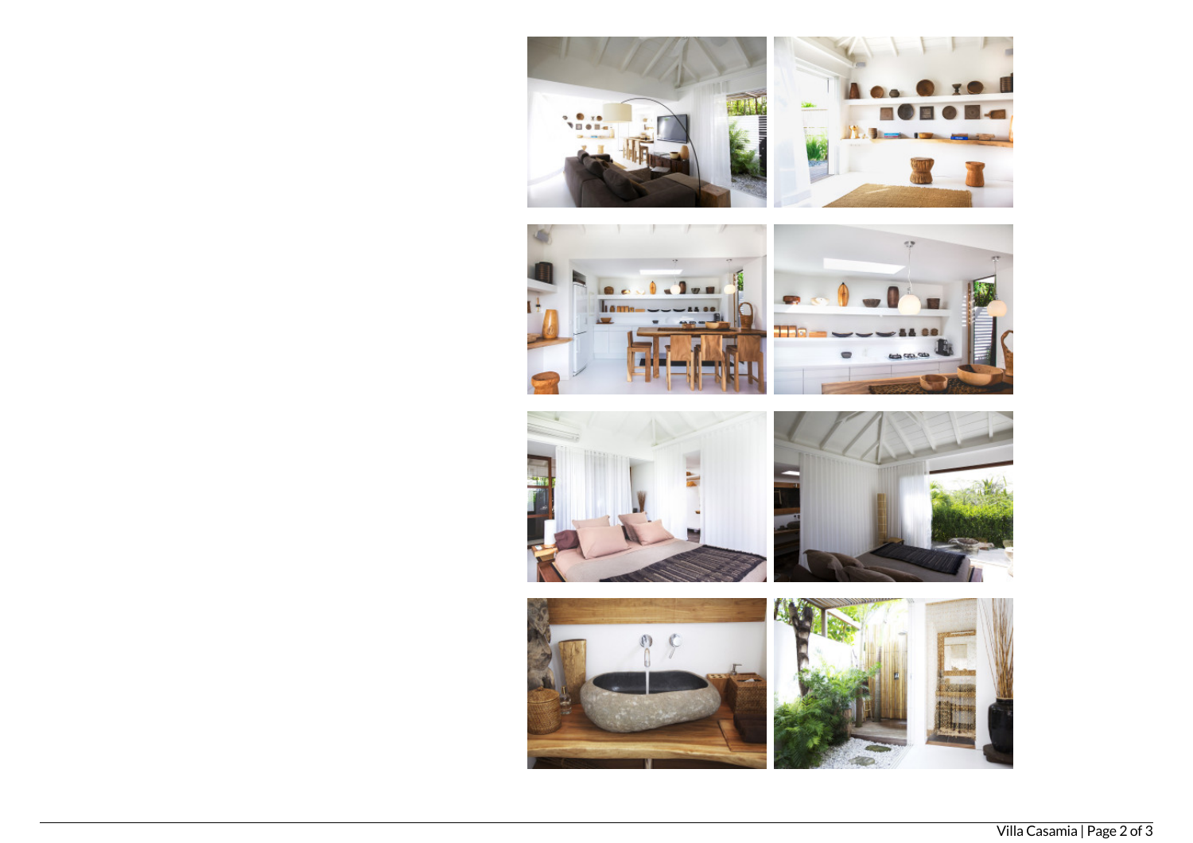